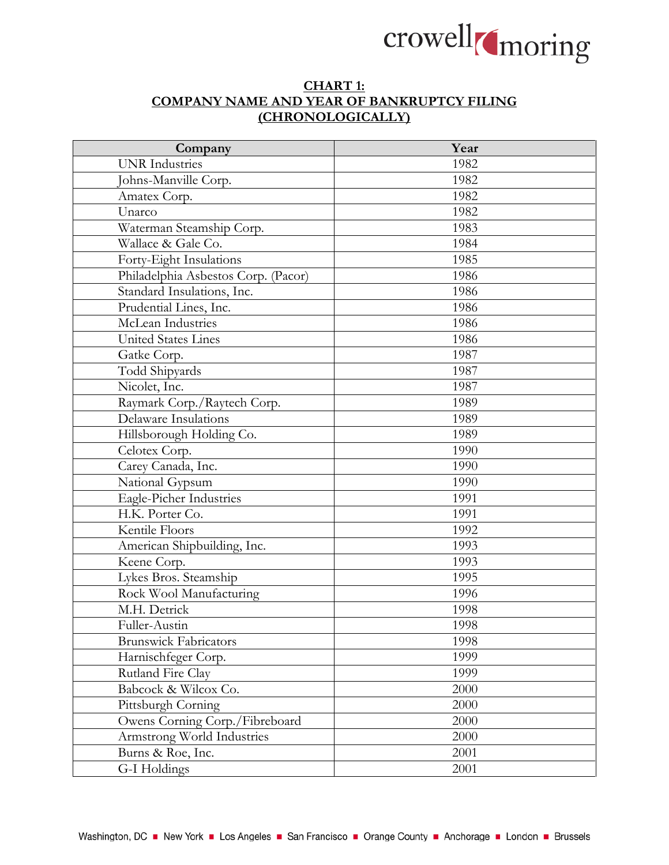

## **CHART 1: COMPANY NAME AND YEAR OF BANKRUPTCY FILING (CHRONOLOGICALLY)**

| Company                             | Year |
|-------------------------------------|------|
| <b>UNR</b> Industries               | 1982 |
| Johns-Manville Corp.                | 1982 |
| Amatex Corp.                        | 1982 |
| Unarco                              | 1982 |
| Waterman Steamship Corp.            | 1983 |
| Wallace & Gale Co.                  | 1984 |
| Forty-Eight Insulations             | 1985 |
| Philadelphia Asbestos Corp. (Pacor) | 1986 |
| Standard Insulations, Inc.          | 1986 |
| Prudential Lines, Inc.              | 1986 |
| McLean Industries                   | 1986 |
| <b>United States Lines</b>          | 1986 |
| Gatke Corp.                         | 1987 |
| Todd Shipyards                      | 1987 |
| Nicolet, Inc.                       | 1987 |
| Raymark Corp./Raytech Corp.         | 1989 |
| Delaware Insulations                | 1989 |
| Hillsborough Holding Co.            | 1989 |
| Celotex Corp.                       | 1990 |
| Carey Canada, Inc.                  | 1990 |
| National Gypsum                     | 1990 |
| Eagle-Picher Industries             | 1991 |
| H.K. Porter Co.                     | 1991 |
| Kentile Floors                      | 1992 |
| American Shipbuilding, Inc.         | 1993 |
| Keene Corp.                         | 1993 |
| Lykes Bros. Steamship               | 1995 |
| Rock Wool Manufacturing             | 1996 |
| M.H. Detrick                        | 1998 |
| Fuller-Austin                       | 1998 |
| <b>Brunswick Fabricators</b>        | 1998 |
| Harnischfeger Corp.                 | 1999 |
| Rutland Fire Clay                   | 1999 |
| Babcock & Wilcox Co.                | 2000 |
| Pittsburgh Corning                  | 2000 |
| Owens Corning Corp./Fibreboard      | 2000 |
| Armstrong World Industries          | 2000 |
| Burns & Roe, Inc.                   | 2001 |
| G-I Holdings                        | 2001 |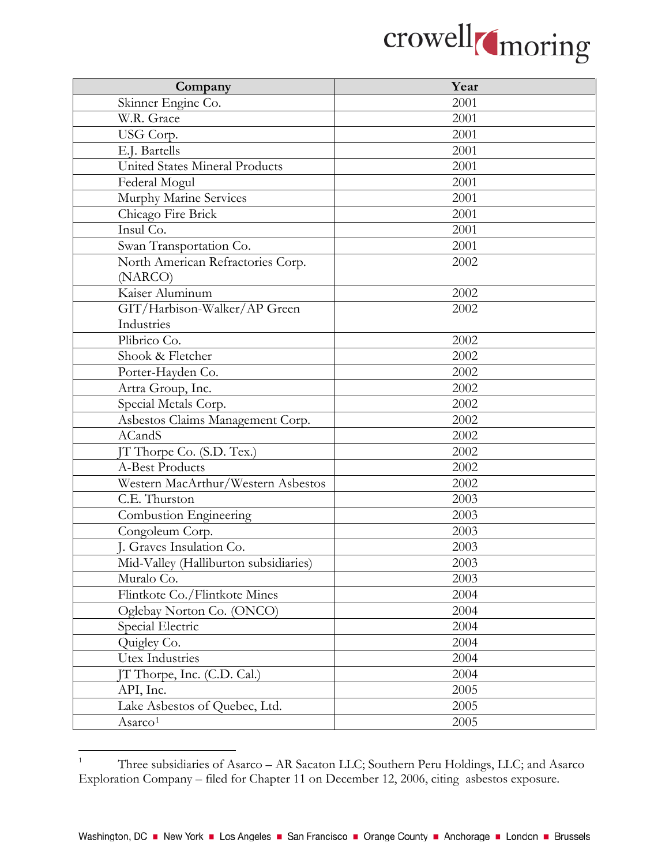

| Company                               | Year |
|---------------------------------------|------|
| Skinner Engine Co.                    | 2001 |
| W.R. Grace                            | 2001 |
| USG Corp.                             | 2001 |
| E.J. Bartells                         | 2001 |
| <b>United States Mineral Products</b> | 2001 |
| Federal Mogul                         | 2001 |
| Murphy Marine Services                | 2001 |
| Chicago Fire Brick                    | 2001 |
| Insul Co.                             | 2001 |
| Swan Transportation Co.               | 2001 |
| North American Refractories Corp.     | 2002 |
| (NARCO)                               |      |
| Kaiser Aluminum                       | 2002 |
| GIT/Harbison-Walker/AP Green          | 2002 |
| Industries                            |      |
| Plibrico Co.                          | 2002 |
| Shook & Fletcher                      | 2002 |
| Porter-Hayden Co.                     | 2002 |
| Artra Group, Inc.                     | 2002 |
| Special Metals Corp.                  | 2002 |
| Asbestos Claims Management Corp.      | 2002 |
| <b>ACandS</b>                         | 2002 |
| JT Thorpe Co. (S.D. Tex.)             | 2002 |
| <b>A-Best Products</b>                | 2002 |
| Western MacArthur/Western Asbestos    | 2002 |
| $\overline{C}$ .E. Thurston           | 2003 |
| Combustion Engineering                | 2003 |
| Congoleum Corp.                       | 2003 |
| J. Graves Insulation Co.              | 2003 |
| Mid-Valley (Halliburton subsidiaries) | 2003 |
| Muralo Co.                            | 2003 |
| Flintkote Co./Flintkote Mines         | 2004 |
| Oglebay Norton Co. (ONCO)             | 2004 |
| Special Electric                      | 2004 |
| Quigley Co.                           | 2004 |
| <b>Utex Industries</b>                | 2004 |
| JT Thorpe, Inc. (C.D. Cal.)           | 2004 |
| API, Inc.                             | 2005 |
| Lake Asbestos of Quebec, Ltd.         | 2005 |
| Asarco <sup>1</sup>                   | 2005 |

<span id="page-1-0"></span> $\,1$ <sup>1</sup> Three subsidiaries of Asarco – AR Sacaton LLC; Southern Peru Holdings, LLC; and Asarco Exploration Company – filed for Chapter 11 on December 12, 2006, citing asbestos exposure.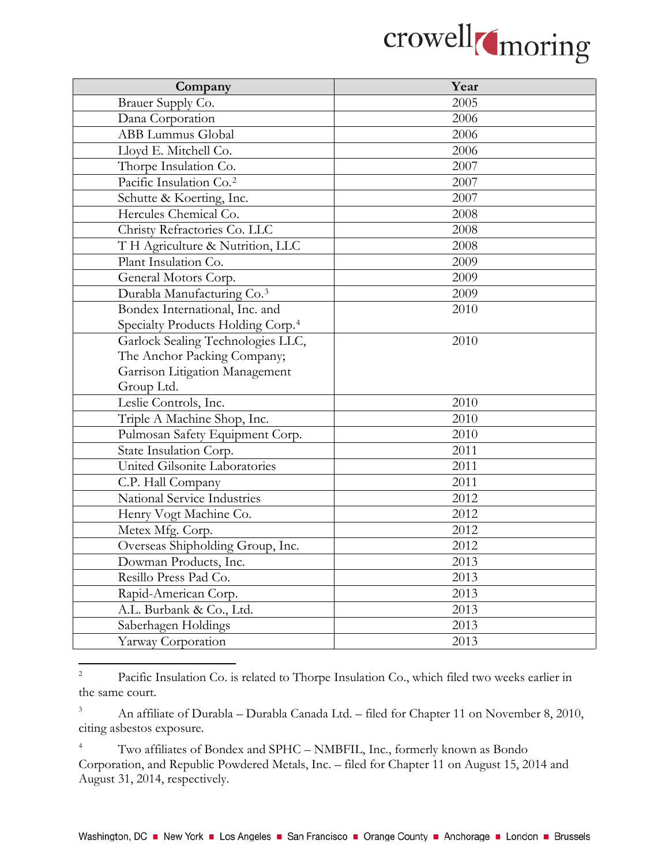

| Company                                       | Year |
|-----------------------------------------------|------|
| Brauer Supply Co.                             | 2005 |
| Dana Corporation                              | 2006 |
| <b>ABB Lummus Global</b>                      | 2006 |
| Lloyd E. Mitchell Co.                         | 2006 |
| Thorpe Insulation Co.                         | 2007 |
| Pacific Insulation Co. <sup>2</sup>           | 2007 |
| Schutte & Koerting, Inc.                      | 2007 |
| Hercules Chemical Co.                         | 2008 |
| Christy Refractories Co. LLC                  | 2008 |
| T H Agriculture & Nutrition, LLC              | 2008 |
| Plant Insulation Co.                          | 2009 |
| General Motors Corp.                          | 2009 |
| Durabla Manufacturing Co. <sup>3</sup>        | 2009 |
| Bondex International, Inc. and                | 2010 |
| Specialty Products Holding Corp. <sup>4</sup> |      |
| Garlock Sealing Technologies LLC,             | 2010 |
| The Anchor Packing Company;                   |      |
| Garrison Litigation Management                |      |
| Group Ltd.                                    |      |
| Leslie Controls, Inc.                         | 2010 |
| Triple A Machine Shop, Inc.                   | 2010 |
| Pulmosan Safety Equipment Corp.               | 2010 |
| State Insulation Corp.                        | 2011 |
| United Gilsonite Laboratories                 | 2011 |
| C.P. Hall Company                             | 2011 |
| National Service Industries                   | 2012 |
| Henry Vogt Machine Co.                        | 2012 |
| Metex Mfg. Corp.                              | 2012 |
| Overseas Shipholding Group, Inc.              | 2012 |
| Dowman Products, Inc.                         | 2013 |
| Resillo Press Pad Co.                         | 2013 |
| Rapid-American Corp.                          | 2013 |
| A.L. Burbank & Co., Ltd.                      | 2013 |
| Saberhagen Holdings                           | 2013 |
| Yarway Corporation                            | 2013 |

<span id="page-2-0"></span> $\overline{2}$ <sup>2</sup> Pacific Insulation Co. is related to Thorpe Insulation Co., which filed two weeks earlier in the same court.

<span id="page-2-1"></span><sup>3</sup> An affiliate of Durabla – Durabla Canada Ltd. – filed for Chapter 11 on November 8, 2010, citing asbestos exposure.

<span id="page-2-2"></span><sup>4</sup> Two affiliates of Bondex and SPHC – NMBFIL, Inc., formerly known as Bondo Corporation, and Republic Powdered Metals, Inc. – filed for Chapter 11 on August 15, 2014 and August 31, 2014, respectively.